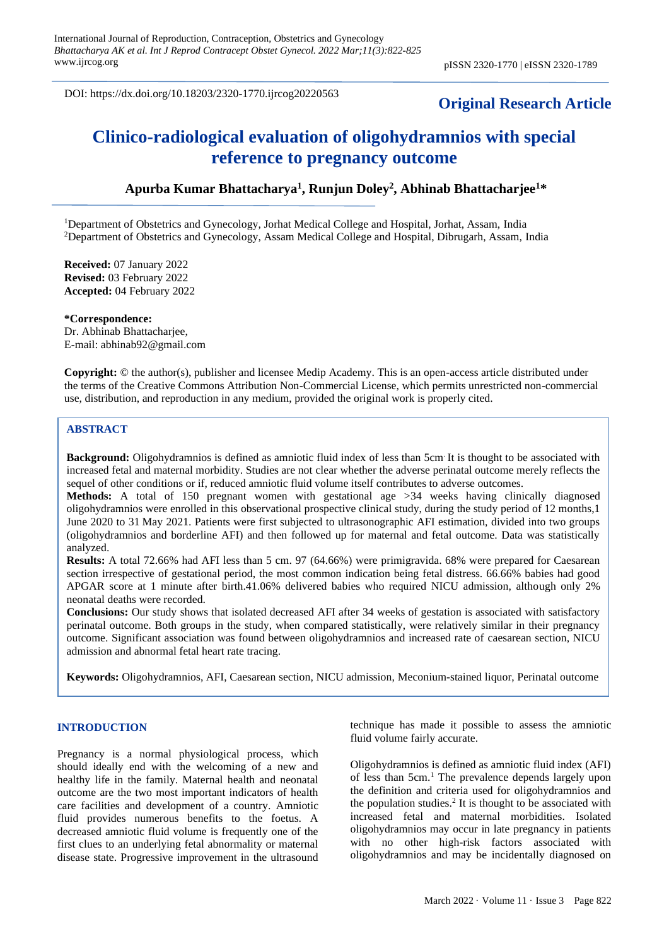DOI: https://dx.doi.org/10.18203/2320-1770.ijrcog20220563

# **Original Research Article**

# **Clinico-radiological evaluation of oligohydramnios with special reference to pregnancy outcome**

## **Apurba Kumar Bhattacharya<sup>1</sup> , Runjun Doley<sup>2</sup> , Abhinab Bhattacharjee<sup>1</sup>\***

<sup>1</sup>Department of Obstetrics and Gynecology, Jorhat Medical College and Hospital, Jorhat, Assam, India <sup>2</sup>Department of Obstetrics and Gynecology, Assam Medical College and Hospital, Dibrugarh, Assam, India

**Received:** 07 January 2022 **Revised:** 03 February 2022 **Accepted:** 04 February 2022

**\*Correspondence:** Dr. Abhinab Bhattacharjee, E-mail: abhinab92@gmail.com

**Copyright:** © the author(s), publisher and licensee Medip Academy. This is an open-access article distributed under the terms of the Creative Commons Attribution Non-Commercial License, which permits unrestricted non-commercial use, distribution, and reproduction in any medium, provided the original work is properly cited.

## **ABSTRACT**

**Background:** Oligohydramnios is defined as amniotic fluid index of less than 5cm. It is thought to be associated with increased fetal and maternal morbidity. Studies are not clear whether the adverse perinatal outcome merely reflects the sequel of other conditions or if, reduced amniotic fluid volume itself contributes to adverse outcomes.

**Methods:** A total of 150 pregnant women with gestational age >34 weeks having clinically diagnosed oligohydramnios were enrolled in this observational prospective clinical study, during the study period of 12 months,1 June 2020 to 31 May 2021. Patients were first subjected to ultrasonographic AFI estimation, divided into two groups (oligohydramnios and borderline AFI) and then followed up for maternal and fetal outcome. Data was statistically analyzed.

**Results:** A total 72.66% had AFI less than 5 cm. 97 (64.66%) were primigravida. 68% were prepared for Caesarean section irrespective of gestational period, the most common indication being fetal distress. 66.66% babies had good APGAR score at 1 minute after birth.41.06% delivered babies who required NICU admission, although only 2% neonatal deaths were recorded.

**Conclusions:** Our study shows that isolated decreased AFI after 34 weeks of gestation is associated with satisfactory perinatal outcome. Both groups in the study, when compared statistically, were relatively similar in their pregnancy outcome. Significant association was found between oligohydramnios and increased rate of caesarean section, NICU admission and abnormal fetal heart rate tracing.

**Keywords:** Oligohydramnios, AFI, Caesarean section, NICU admission, Meconium-stained liquor, Perinatal outcome

## **INTRODUCTION**

Pregnancy is a normal physiological process, which should ideally end with the welcoming of a new and healthy life in the family. Maternal health and neonatal outcome are the two most important indicators of health care facilities and development of a country. Amniotic fluid provides numerous benefits to the foetus. A decreased amniotic fluid volume is frequently one of the first clues to an underlying fetal abnormality or maternal disease state. Progressive improvement in the ultrasound technique has made it possible to assess the amniotic fluid volume fairly accurate.

Oligohydramnios is defined as amniotic fluid index (AFI) of less than 5cm.<sup>1</sup> The prevalence depends largely upon the definition and criteria used for oligohydramnios and the population studies.<sup>2</sup> It is thought to be associated with increased fetal and maternal morbidities. Isolated oligohydramnios may occur in late pregnancy in patients with no other high-risk factors associated with oligohydramnios and may be incidentally diagnosed on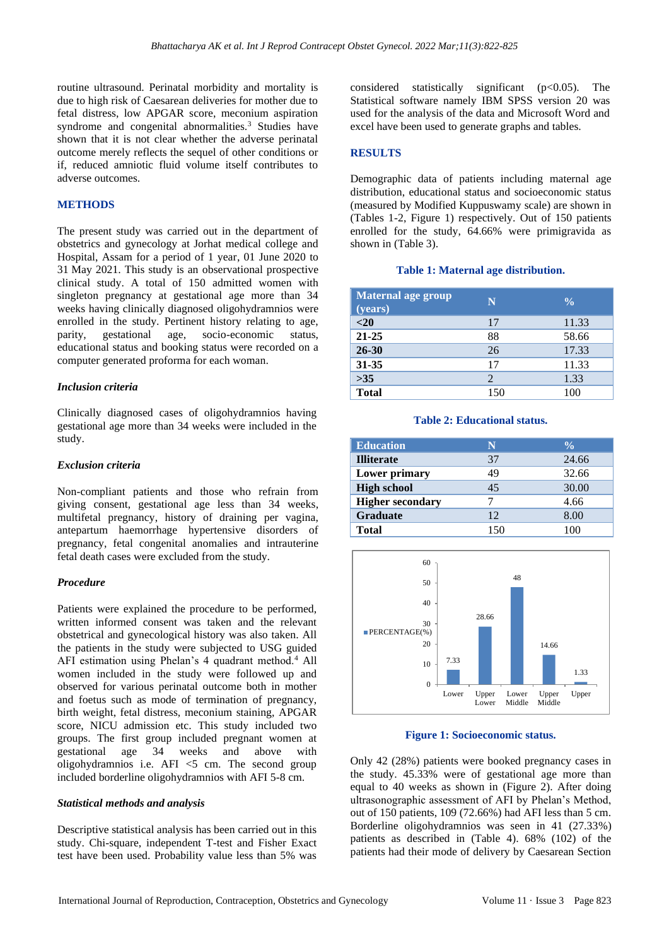routine ultrasound. Perinatal morbidity and mortality is due to high risk of Caesarean deliveries for mother due to fetal distress, low APGAR score, meconium aspiration syndrome and congenital abnormalities.<sup>3</sup> Studies have shown that it is not clear whether the adverse perinatal outcome merely reflects the sequel of other conditions or if, reduced amniotic fluid volume itself contributes to adverse outcomes.

## **METHODS**

The present study was carried out in the department of obstetrics and gynecology at Jorhat medical college and Hospital, Assam for a period of 1 year, 01 June 2020 to 31 May 2021. This study is an observational prospective clinical study. A total of 150 admitted women with singleton pregnancy at gestational age more than 34 weeks having clinically diagnosed oligohydramnios were enrolled in the study. Pertinent history relating to age, parity, gestational age, socio-economic status, educational status and booking status were recorded on a computer generated proforma for each woman.

#### *Inclusion criteria*

Clinically diagnosed cases of oligohydramnios having gestational age more than 34 weeks were included in the study.

#### *Exclusion criteria*

Non-compliant patients and those who refrain from giving consent, gestational age less than 34 weeks, multifetal pregnancy, history of draining per vagina, antepartum haemorrhage hypertensive disorders of pregnancy, fetal congenital anomalies and intrauterine fetal death cases were excluded from the study.

## *Procedure*

Patients were explained the procedure to be performed, written informed consent was taken and the relevant obstetrical and gynecological history was also taken. All the patients in the study were subjected to USG guided AFI estimation using Phelan's 4 quadrant method.<sup>4</sup> All women included in the study were followed up and observed for various perinatal outcome both in mother and foetus such as mode of termination of pregnancy, birth weight, fetal distress, meconium staining, APGAR score, NICU admission etc. This study included two groups. The first group included pregnant women at gestational age 34 weeks and above with gestational age 34 weeks and above with oligohydramnios i.e.  $AFI < 5$  cm. The second group included borderline oligohydramnios with AFI 5-8 cm.

#### *Statistical methods and analysis*

Descriptive statistical analysis has been carried out in this study. Chi-square, independent T-test and Fisher Exact test have been used. Probability value less than 5% was

considered statistically significant  $(p<0.05)$ . The Statistical software namely IBM SPSS version 20 was used for the analysis of the data and Microsoft Word and excel have been used to generate graphs and tables.

#### **RESULTS**

Demographic data of patients including maternal age distribution, educational status and socioeconomic status (measured by Modified Kuppuswamy scale) are shown in (Tables 1-2, Figure 1) respectively. Out of 150 patients enrolled for the study, 64.66% were primigravida as shown in (Table 3).

#### **Table 1: Maternal age distribution.**

| Maternal age group<br>(years) | N   | $\frac{0}{0}$ |
|-------------------------------|-----|---------------|
| $<$ 20                        | 17  | 11.33         |
| $21 - 25$                     | 88  | 58.66         |
| $26 - 30$                     | 26  | 17.33         |
| $31 - 35$                     | 17  | 11.33         |
| >35                           | 2   | 1.33          |
| <b>Total</b>                  | 150 | 100           |

#### **Table 2: Educational status.**

| <b>Education</b>        | N   | $\frac{0}{\alpha}$ |
|-------------------------|-----|--------------------|
| <b>Illiterate</b>       | 37  | 24.66              |
| Lower primary           | 49  | 32.66              |
| <b>High school</b>      | 45  | 30.00              |
| <b>Higher secondary</b> |     | 4.66               |
| <b>Graduate</b>         | 12  | 8.00               |
| <b>Total</b>            | 150 | 100                |



## **Figure 1: Socioeconomic status.**

Only 42 (28%) patients were booked pregnancy cases in the study. 45.33% were of gestational age more than equal to 40 weeks as shown in (Figure 2). After doing ultrasonographic assessment of AFI by Phelan's Method, out of 150 patients, 109 (72.66%) had AFI less than 5 cm. Borderline oligohydramnios was seen in 41 (27.33%) patients as described in (Table 4). 68% (102) of the patients had their mode of delivery by Caesarean Section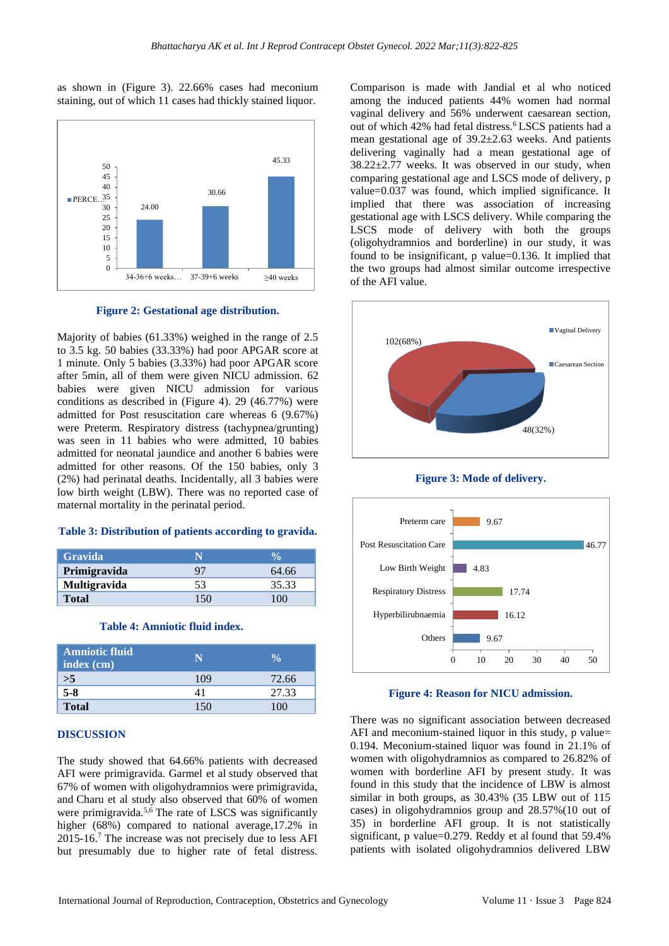as shown in (Figure 3). 22.66% cases had meconium staining, out of which 11 cases had thickly stained liquor.



**Figure 2: Gestational age distribution.**

Majority of babies (61.33%) weighed in the range of 2.5 to 3.5 kg. 50 babies (33.33%) had poor APGAR score at 1 minute. Only 5 babies (3.33%) had poor APGAR score after 5min, all of them were given NICU admission. 62 babies were given NICU admission for various conditions as described in (Figure 4). 29 (46.77%) were admitted for Post resuscitation care whereas 6 (9.67%) were Preterm. Respiratory distress (tachypnea/grunting) was seen in 11 babies who were admitted, 10 babies admitted for neonatal jaundice and another 6 babies were admitted for other reasons. Of the 150 babies, only 3 (2%) had perinatal deaths. Incidentally, all 3 babies were low birth weight (LBW). There was no reported case of maternal mortality in the perinatal period.

## **Table 3: Distribution of patients according to gravida.**

| <b>Gravida</b>      | N   | <b>VA</b> |
|---------------------|-----|-----------|
| Primigravida        | 97  | 64.66     |
| <b>Multigravida</b> | 53  | 35.33     |
| <b>Total</b>        | 150 | 100       |

## **Table 4: Amniotic fluid index.**

| <b>Amniotic fluid</b><br>index (cm) |     |       |
|-------------------------------------|-----|-------|
| >5                                  | 109 | 72.66 |
| $5 - 8$                             |     | 27.33 |
| <b>Total</b>                        |     | 100   |

#### **DISCUSSION**

The study showed that 64.66% patients with decreased AFI were primigravida. Garmel et al study observed that 67% of women with oligohydramnios were primigravida, and Charu et al study also observed that 60% of women were primigravida.<sup>5,6</sup> The rate of LSCS was significantly higher (68%) compared to national average,17.2% in 2015-16.<sup>7</sup> The increase was not precisely due to less AFI but presumably due to higher rate of fetal distress.

Comparison is made with Jandial et al who noticed among the induced patients 44% women had normal vaginal delivery and 56% underwent caesarean section, out of which 42% had fetal distress.<sup>6</sup> LSCS patients had a mean gestational age of 39.2±2.63 weeks. And patients delivering vaginally had a mean gestational age of  $38.22 \pm 2.77$  weeks. It was observed in our study, when comparing gestational age and LSCS mode of delivery, p value=0.037 was found, which implied significance. It implied that there was association of increasing gestational age with LSCS delivery. While comparing the LSCS mode of delivery with both the groups (oligohydramnios and borderline) in our study, it was found to be insignificant, p value=0.136. It implied that the two groups had almost similar outcome irrespective of the AFI value.







**Figure 4: Reason for NICU admission.**

There was no significant association between decreased AFI and meconium-stained liquor in this study, p value= 0.194. Meconium-stained liquor was found in 21.1% of women with oligohydramnios as compared to 26.82% of women with borderline AFI by present study. It was found in this study that the incidence of LBW is almost similar in both groups, as 30.43% (35 LBW out of 115 cases) in oligohydramnios group and 28.57%(10 out of 35) in borderline AFI group. It is not statistically significant, p value=0.279. Reddy et al found that 59.4% patients with isolated oligohydramnios delivered LBW